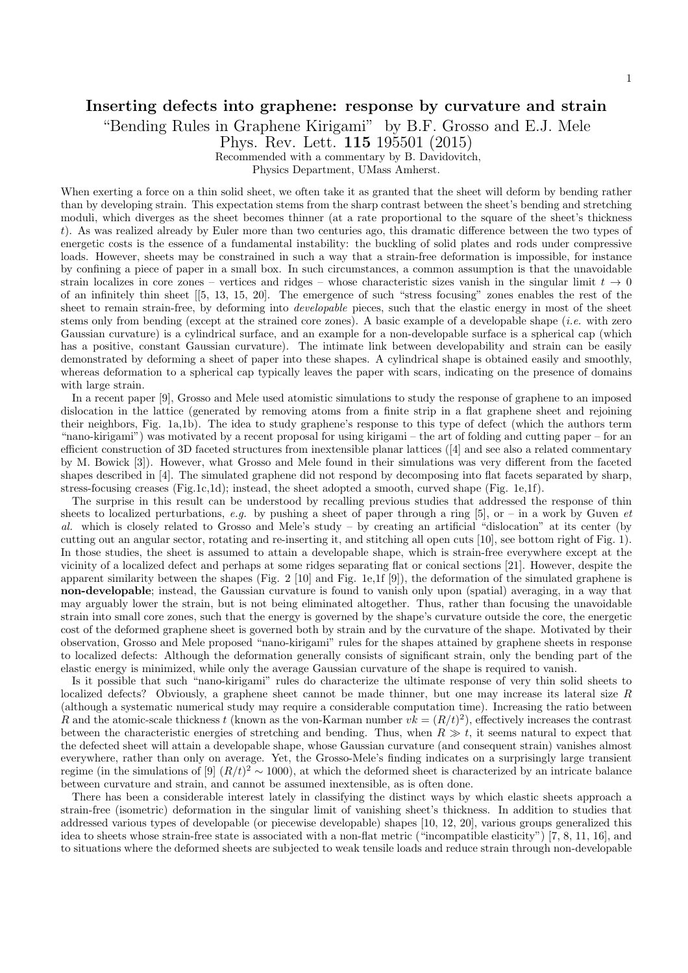## Inserting defects into graphene: response by curvature and strain

"Bending Rules in Graphene Kirigami" by B.F. Grosso and E.J. Mele

Phys. Rev. Lett. 115 195501 (2015)

Recommended with a commentary by B. Davidovitch,

Physics Department, UMass Amherst.

When exerting a force on a thin solid sheet, we often take it as granted that the sheet will deform by bending rather than by developing strain. This expectation stems from the sharp contrast between the sheet's bending and stretching moduli, which diverges as the sheet becomes thinner (at a rate proportional to the square of the sheet's thickness t). As was realized already by Euler more than two centuries ago, this dramatic difference between the two types of energetic costs is the essence of a fundamental instability: the buckling of solid plates and rods under compressive loads. However, sheets may be constrained in such a way that a strain-free deformation is impossible, for instance by confining a piece of paper in a small box. In such circumstances, a common assumption is that the unavoidable strain localizes in core zones – vertices and ridges – whose characteristic sizes vanish in the singular limit  $t \to 0$ of an infinitely thin sheet [[5, 13, 15, 20]. The emergence of such "stress focusing" zones enables the rest of the sheet to remain strain-free, by deforming into *developable* pieces, such that the elastic energy in most of the sheet stems only from bending (except at the strained core zones). A basic example of a developable shape (*i.e.* with zero Gaussian curvature) is a cylindrical surface, and an example for a non-developable surface is a spherical cap (which has a positive, constant Gaussian curvature). The intimate link between developability and strain can be easily demonstrated by deforming a sheet of paper into these shapes. A cylindrical shape is obtained easily and smoothly, whereas deformation to a spherical cap typically leaves the paper with scars, indicating on the presence of domains with large strain.

In a recent paper [9], Grosso and Mele used atomistic simulations to study the response of graphene to an imposed dislocation in the lattice (generated by removing atoms from a finite strip in a flat graphene sheet and rejoining their neighbors, Fig. 1a,1b). The idea to study graphene's response to this type of defect (which the authors term "nano-kirigami") was motivated by a recent proposal for using kirigami – the art of folding and cutting paper – for an efficient construction of 3D faceted structures from inextensible planar lattices ([4] and see also a related commentary by M. Bowick [3]). However, what Grosso and Mele found in their simulations was very different from the faceted shapes described in [4]. The simulated graphene did not respond by decomposing into flat facets separated by sharp, stress-focusing creases (Fig.1c,1d); instead, the sheet adopted a smooth, curved shape (Fig. 1e,1f).

The surprise in this result can be understood by recalling previous studies that addressed the response of thin sheets to localized perturbations, e.g. by pushing a sheet of paper through a ring [5], or – in a work by Guven et al. which is closely related to Grosso and Mele's study – by creating an artificial "dislocation" at its center (by cutting out an angular sector, rotating and re-inserting it, and stitching all open cuts [10], see bottom right of Fig. 1). In those studies, the sheet is assumed to attain a developable shape, which is strain-free everywhere except at the vicinity of a localized defect and perhaps at some ridges separating flat or conical sections [21]. However, despite the apparent similarity between the shapes (Fig. 2 [10] and Fig. 1e,1f [9]), the deformation of the simulated graphene is non-developable; instead, the Gaussian curvature is found to vanish only upon (spatial) averaging, in a way that may arguably lower the strain, but is not being eliminated altogether. Thus, rather than focusing the unavoidable strain into small core zones, such that the energy is governed by the shape's curvature outside the core, the energetic cost of the deformed graphene sheet is governed both by strain and by the curvature of the shape. Motivated by their observation, Grosso and Mele proposed "nano-kirigami" rules for the shapes attained by graphene sheets in response to localized defects: Although the deformation generally consists of significant strain, only the bending part of the elastic energy is minimized, while only the average Gaussian curvature of the shape is required to vanish.

Is it possible that such "nano-kirigami" rules do characterize the ultimate response of very thin solid sheets to localized defects? Obviously, a graphene sheet cannot be made thinner, but one may increase its lateral size R (although a systematic numerical study may require a considerable computation time). Increasing the ratio between R and the atomic-scale thickness t (known as the von-Karman number  $vk = (R/t)^2$ ), effectively increases the contrast between the characteristic energies of stretching and bending. Thus, when  $R \gg t$ , it seems natural to expect that the defected sheet will attain a developable shape, whose Gaussian curvature (and consequent strain) vanishes almost everywhere, rather than only on average. Yet, the Grosso-Mele's finding indicates on a surprisingly large transient regime (in the simulations of [9]  $(R/t)^2 \sim 1000$ ), at which the deformed sheet is characterized by an intricate balance between curvature and strain, and cannot be assumed inextensible, as is often done.

There has been a considerable interest lately in classifying the distinct ways by which elastic sheets approach a strain-free (isometric) deformation in the singular limit of vanishing sheet's thickness. In addition to studies that addressed various types of developable (or piecewise developable) shapes [10, 12, 20], various groups generalized this idea to sheets whose strain-free state is associated with a non-flat metric ("incompatible elasticity") [7, 8, 11, 16], and to situations where the deformed sheets are subjected to weak tensile loads and reduce strain through non-developable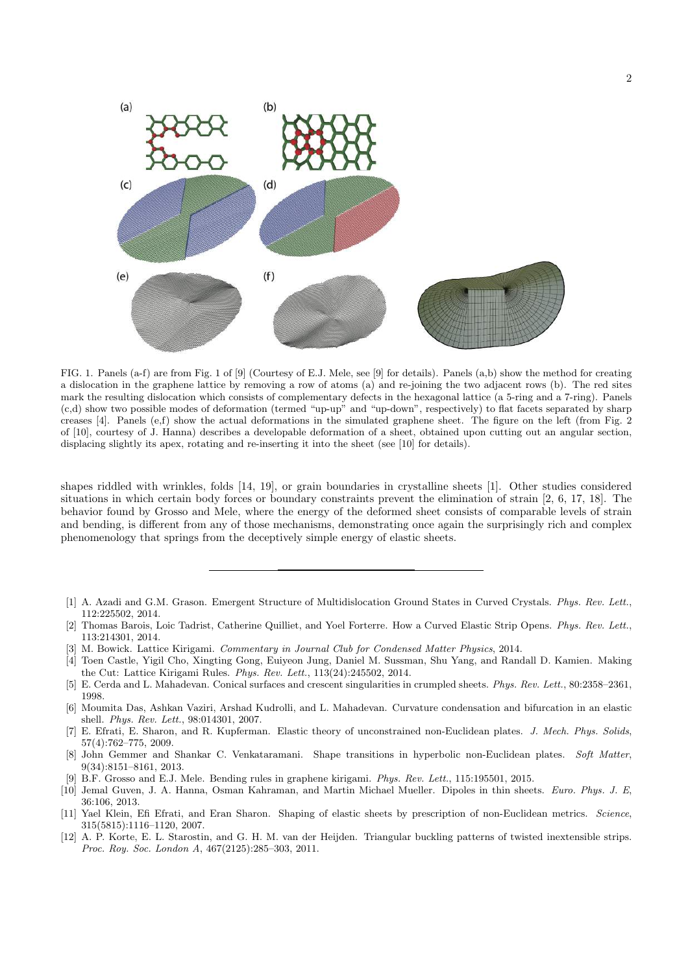

FIG. 1. Panels (a-f) are from Fig. 1 of [9] (Courtesy of E.J. Mele, see [9] for details). Panels (a,b) show the method for creating a dislocation in the graphene lattice by removing a row of atoms (a) and re-joining the two adjacent rows (b). The red sites mark the resulting dislocation which consists of complementary defects in the hexagonal lattice (a 5-ring and a 7-ring). Panels (c,d) show two possible modes of deformation (termed "up-up" and "up-down", respectively) to flat facets separated by sharp creases [4]. Panels (e,f) show the actual deformations in the simulated graphene sheet. The figure on the left (from Fig. 2 of [10], courtesy of J. Hanna) describes a developable deformation of a sheet, obtained upon cutting out an angular section, displacing slightly its apex, rotating and re-inserting it into the sheet (see [10] for details).

shapes riddled with wrinkles, folds [14, 19], or grain boundaries in crystalline sheets [1]. Other studies considered situations in which certain body forces or boundary constraints prevent the elimination of strain [2, 6, 17, 18]. The behavior found by Grosso and Mele, where the energy of the deformed sheet consists of comparable levels of strain and bending, is different from any of those mechanisms, demonstrating once again the surprisingly rich and complex phenomenology that springs from the deceptively simple energy of elastic sheets.

- [1] A. Azadi and G.M. Grason. Emergent Structure of Multidislocation Ground States in Curved Crystals. Phys. Rev. Lett., 112:225502, 2014.
- [2] Thomas Barois, Loic Tadrist, Catherine Quilliet, and Yoel Forterre. How a Curved Elastic Strip Opens. Phys. Rev. Lett., 113:214301, 2014.
- [3] M. Bowick. Lattice Kirigami. Commentary in Journal Club for Condensed Matter Physics, 2014.
- [4] Toen Castle, Yigil Cho, Xingting Gong, Euiyeon Jung, Daniel M. Sussman, Shu Yang, and Randall D. Kamien. Making the Cut: Lattice Kirigami Rules. Phys. Rev. Lett., 113(24):245502, 2014.
- [5] E. Cerda and L. Mahadevan. Conical surfaces and crescent singularities in crumpled sheets. Phys. Rev. Lett., 80:2358–2361, 1998.
- [6] Moumita Das, Ashkan Vaziri, Arshad Kudrolli, and L. Mahadevan. Curvature condensation and bifurcation in an elastic shell. Phys. Rev. Lett., 98:014301, 2007.
- [7] E. Efrati, E. Sharon, and R. Kupferman. Elastic theory of unconstrained non-Euclidean plates. J. Mech. Phys. Solids, 57(4):762–775, 2009.
- [8] John Gemmer and Shankar C. Venkataramani. Shape transitions in hyperbolic non-Euclidean plates. Soft Matter, 9(34):8151–8161, 2013.
- [9] B.F. Grosso and E.J. Mele. Bending rules in graphene kirigami. Phys. Rev. Lett., 115:195501, 2015.
- [10] Jemal Guven, J. A. Hanna, Osman Kahraman, and Martin Michael Mueller. Dipoles in thin sheets. Euro. Phys. J. E, 36:106, 2013.
- [11] Yael Klein, Efi Efrati, and Eran Sharon. Shaping of elastic sheets by prescription of non-Euclidean metrics. Science, 315(5815):1116–1120, 2007.
- [12] A. P. Korte, E. L. Starostin, and G. H. M. van der Heijden. Triangular buckling patterns of twisted inextensible strips. Proc. Roy. Soc. London A, 467(2125):285–303, 2011.